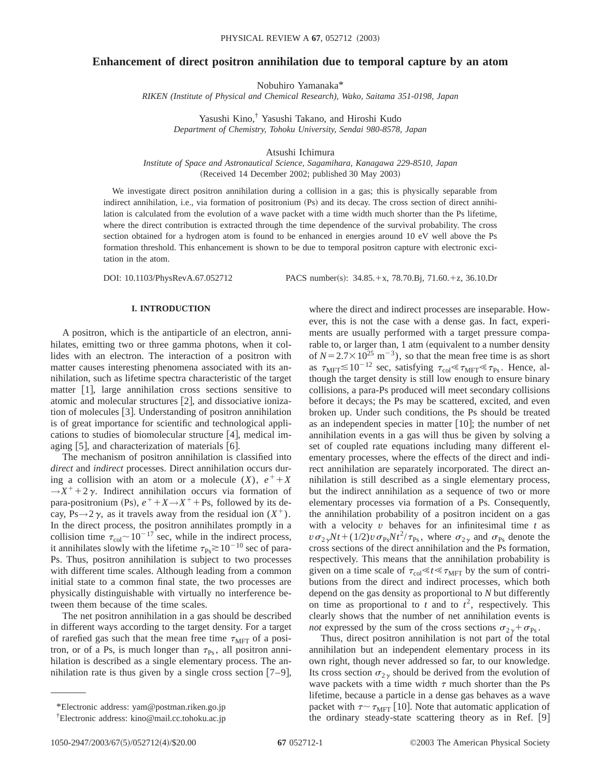# **Enhancement of direct positron annihilation due to temporal capture by an atom**

Nobuhiro Yamanaka\*

*RIKEN (Institute of Physical and Chemical Research), Wako, Saitama 351-0198, Japan*

Yasushi Kino,† Yasushi Takano, and Hiroshi Kudo *Department of Chemistry, Tohoku University, Sendai 980-8578, Japan*

Atsushi Ichimura

*Institute of Space and Astronautical Science, Sagamihara, Kanagawa 229-8510, Japan* (Received 14 December 2002; published 30 May 2003)

We investigate direct positron annihilation during a collision in a gas; this is physically separable from indirect annihilation, i.e., via formation of positronium (Ps) and its decay. The cross section of direct annihilation is calculated from the evolution of a wave packet with a time width much shorter than the Ps lifetime, where the direct contribution is extracted through the time dependence of the survival probability. The cross section obtained for a hydrogen atom is found to be enhanced in energies around 10 eV well above the Ps formation threshold. This enhancement is shown to be due to temporal positron capture with electronic excitation in the atom.

DOI: 10.1103/PhysRevA.67.052712 PACS number(s): 34.85.+x, 78.70.Bj, 71.60.+z, 36.10.Dr

## **I. INTRODUCTION**

A positron, which is the antiparticle of an electron, annihilates, emitting two or three gamma photons, when it collides with an electron. The interaction of a positron with matter causes interesting phenomena associated with its annihilation, such as lifetime spectra characteristic of the target matter  $\lceil 1 \rceil$ , large annihilation cross sections sensitive to atomic and molecular structures  $[2]$ , and dissociative ionization of molecules  $\lceil 3 \rceil$ . Understanding of positron annihilation is of great importance for scientific and technological applications to studies of biomolecular structure  $[4]$ , medical imaging  $[5]$ , and characterization of materials  $[6]$ .

The mechanism of positron annihilation is classified into *direct* and *indirect* processes. Direct annihilation occurs during a collision with an atom or a molecule  $(X)$ ,  $e^+ + X$  $\rightarrow$ *X*<sup>+</sup> + 2 $\gamma$ . Indirect annihilation occurs via formation of para-positronium (Ps),  $e^+ + X \rightarrow X^+ + \text{Ps}$ , followed by its decay, Ps $\rightarrow$ 2 $\gamma$ , as it travels away from the residual ion  $(X^+)$ . In the direct process, the positron annihilates promptly in a collision time  $\tau_{\text{col}} \sim 10^{-17}$  sec, while in the indirect process, it annihilates slowly with the lifetime  $\tau_{\text{Ps}} \gtrsim 10^{-10}$  sec of para-Ps. Thus, positron annihilation is subject to two processes with different time scales. Although leading from a common initial state to a common final state, the two processes are physically distinguishable with virtually no interference between them because of the time scales.

The net positron annihilation in a gas should be described in different ways according to the target density. For a target of rarefied gas such that the mean free time  $\tau_{\text{MFT}}$  of a positron, or of a Ps, is much longer than  $\tau_{\text{Ps}}$ , all positron annihilation is described as a single elementary process. The annihilation rate is thus given by a single cross section  $[7-9]$ , where the direct and indirect processes are inseparable. However, this is not the case with a dense gas. In fact, experiments are usually performed with a target pressure comparable to, or larger than, 1 atm (equivalent to a number density of  $N=2.7\times10^{25}$  m<sup>-3</sup>), so that the mean free time is as short as  $\tau_{\text{MFT}} \lesssim 10^{-12}$  sec, satisfying  $\tau_{\text{col}} \ll \tau_{\text{MFT}} \ll \tau_{\text{Ps}}$ . Hence, although the target density is still low enough to ensure binary collisions, a para-Ps produced will meet secondary collisions before it decays; the Ps may be scattered, excited, and even broken up. Under such conditions, the Ps should be treated as an independent species in matter  $[10]$ ; the number of net annihilation events in a gas will thus be given by solving a set of coupled rate equations including many different elementary processes, where the effects of the direct and indirect annihilation are separately incorporated. The direct annihilation is still described as a single elementary process, but the indirect annihilation as a sequence of two or more elementary processes via formation of a Ps. Consequently, the annihilation probability of a positron incident on a gas with a velocity *v* behaves for an infinitesimal time *t* as  $v \sigma_{2\gamma} N t + (1/2) v \sigma_{\text{Ps}} N t^2 / \tau_{\text{Ps}}$ , where  $\sigma_{2\gamma}$  and  $\sigma_{\text{Ps}}$  denote the cross sections of the direct annihilation and the Ps formation, respectively. This means that the annihilation probability is given on a time scale of  $\tau_{\text{col}} \ll t \ll \tau_{\text{MFT}}$  by the sum of contributions from the direct and indirect processes, which both depend on the gas density as proportional to *N* but differently on time as proportional to  $t$  and to  $t^2$ , respectively. This clearly shows that the number of net annihilation events is *not* expressed by the sum of the cross sections  $\sigma_{2y} + \sigma_{\text{Ps}}$ .

Thus, direct positron annihilation is not part of the total annihilation but an independent elementary process in its own right, though never addressed so far, to our knowledge. Its cross section  $\sigma_{2\nu}$  should be derived from the evolution of wave packets with a time width  $\tau$  much shorter than the Ps lifetime, because a particle in a dense gas behaves as a wave packet with  $\tau \sim \tau_{\text{MFT}}$  [10]. Note that automatic application of the ordinary steady-state scattering theory as in Ref.  $[9]$ 

<sup>\*</sup>Electronic address: yam@postman.riken.go.jp

<sup>†</sup> Electronic address: kino@mail.cc.tohoku.ac.jp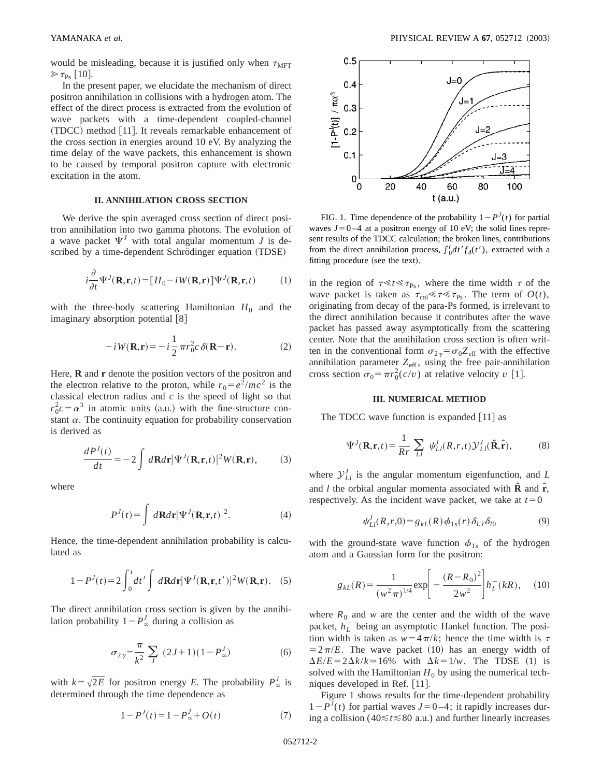would be misleading, because it is justified only when  $\tau_{\text{MFT}}$  $\gg \tau_{\rm Ps}$  [10].

In the present paper, we elucidate the mechanism of direct positron annihilation in collisions with a hydrogen atom. The effect of the direct process is extracted from the evolution of wave packets with a time-dependent coupled-channel  $(TDCC)$  method [11]. It reveals remarkable enhancement of the cross section in energies around 10 eV. By analyzing the time delay of the wave packets, this enhancement is shown to be caused by temporal positron capture with electronic excitation in the atom.

## **II. ANNIHILATION CROSS SECTION**

We derive the spin averaged cross section of direct positron annihilation into two gamma photons. The evolution of a wave packet  $\Psi^J$  with total angular momentum *J* is described by a time-dependent Schrödinger equation (TDSE)

$$
i\frac{\partial}{\partial t}\Psi^{J}(\mathbf{R}, \mathbf{r}, t) = [H_0 - iW(\mathbf{R}, \mathbf{r})]\Psi^{J}(\mathbf{R}, \mathbf{r}, t)
$$
 (1)

with the three-body scattering Hamiltonian  $H_0$  and the imaginary absorption potential  $[8]$ 

$$
-iW(\mathbf{R}, \mathbf{r}) = -i\frac{1}{2}\pi r_0^2 c \,\delta(\mathbf{R} - \mathbf{r}).
$$
 (2)

Here, **R** and **r** denote the position vectors of the positron and the electron relative to the proton, while  $r_0 = e^2/mc^2$  is the classical electron radius and *c* is the speed of light so that  $r_0^2 c = \alpha^3$  in atomic units (a.u.) with the fine-structure constant  $\alpha$ . The continuity equation for probability conservation is derived as

$$
\frac{dP^{J}(t)}{dt} = -2 \int d\mathbf{R}d\mathbf{r} |\Psi^{J}(\mathbf{R}, \mathbf{r}, t)|^{2} W(\mathbf{R}, \mathbf{r}),
$$
 (3)

where

$$
P^{J}(t) = \int d\mathbf{R}d\mathbf{r} |\Psi^{J}(\mathbf{R}, \mathbf{r}, t)|^{2}.
$$
 (4)

Hence, the time-dependent annihilation probability is calculated as

$$
1 - P^{J}(t) = 2 \int_0^t dt' \int d\mathbf{R} d\mathbf{r} |\Psi^{J}(\mathbf{R}, \mathbf{r}, t')|^2 W(\mathbf{R}, \mathbf{r}). \quad (5)
$$

The direct annihilation cross section is given by the annihilation probability  $1-P'_\infty$  during a collision as

$$
\sigma_{2\gamma} = \frac{\pi}{k^2} \sum_{J} (2J+1)(1 - P_{\infty}^J)
$$
 (6)

with  $k = \sqrt{2E}$  for positron energy *E*. The probability  $P^J_\infty$  is determined through the time dependence as

$$
1 - P^{J}(t) = 1 - P^{J}_{\infty} + O(t)
$$
 (7)



FIG. 1. Time dependence of the probability  $1-P<sup>J</sup>(t)$  for partial waves  $J=0-4$  at a positron energy of 10 eV; the solid lines represent results of the TDCC calculation; the broken lines, contributions from the direct annihilation process,  $\int_0^t dt' f_d(t')$ , extracted with a fitting procedure (see the text).

in the region of  $\tau \ll t \ll \tau_{\text{Ps}}$ , where the time width  $\tau$  of the wave packet is taken as  $\tau_{\text{col}} \ll \tau \ll \tau_{\text{Ps}}$ . The term of  $O(t)$ , originating from decay of the para-Ps formed, is irrelevant to the direct annihilation because it contributes after the wave packet has passed away asymptotically from the scattering center. Note that the annihilation cross section is often written in the conventional form  $\sigma_{2\gamma} = \sigma_0 Z_{\text{eff}}$  with the effective annihilation parameter  $Z_{\text{eff}}$ , using the free pair-annihilation cross section  $\sigma_0 = \pi r_0^2(c/v)$  at relative velocity *v* [1].

#### **III. NUMERICAL METHOD**

The TDCC wave function is expanded  $[11]$  as

$$
\Psi^{J}(\mathbf{R}, \mathbf{r}, t) = \frac{1}{Rr} \sum_{Ll} \psi^{J}_{Ll}(R, r, t) \mathcal{Y}^{J}_{Ll}(\hat{\mathbf{R}}, \hat{\mathbf{r}}),
$$
(8)

where  $\mathcal{Y}_{L_l}^J$  is the angular momentum eigenfunction, and *L* and *l* the orbital angular momenta associated with **Rˆ** and **rˆ**, respectively. As the incident wave packet, we take at  $t=0$ 

$$
\psi_{Ll}^J(R,r,0) = g_{kL}(R)\,\phi_{1s}(r)\,\delta_{LJ}\,\delta_{l0} \tag{9}
$$

with the ground-state wave function  $\phi_{1s}$  of the hydrogen atom and a Gaussian form for the positron:

$$
g_{kL}(R) = \frac{1}{(w^2 \pi)^{1/4}} \exp \left[ -\frac{(R - R_0)^2}{2w^2} \right] h_L^-(kR), \quad (10)
$$

where  $R_0$  and *w* are the center and the width of the wave packet,  $h_L^-$  being an asymptotic Hankel function. The position width is taken as  $w=4\pi/k$ ; hence the time width is  $\tau$  $=2\pi/E$ . The wave packet (10) has an energy width of  $\Delta E/E = 2\Delta k/k \approx 16\%$  with  $\Delta k = 1/w$ . The TDSE (1) is solved with the Hamiltonian  $H_0$  by using the numerical techniques developed in Ref.  $[11]$ .

Figure 1 shows results for the time-dependent probability  $1-P<sup>J</sup>(t)$  for partial waves  $J=0-4$ ; it rapidly increases during a collision ( $40 \le t \le 80$  a.u.) and further linearly increases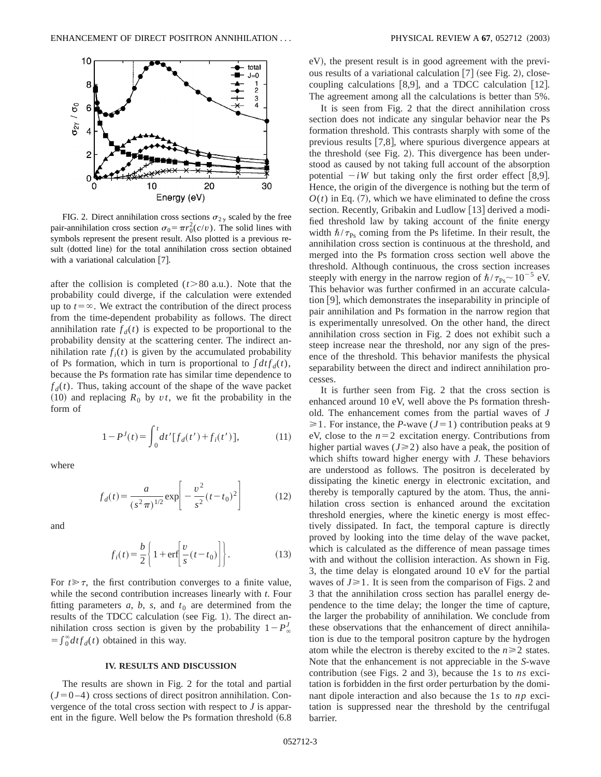

FIG. 2. Direct annihilation cross sections  $\sigma_{2\nu}$  scaled by the free pair-annihilation cross section  $\sigma_0 = \pi r_0^2(c/v)$ . The solid lines with symbols represent the present result. Also plotted is a previous result (dotted line) for the total annihilation cross section obtained with a variational calculation  $[7]$ .

after the collision is completed  $(t>80 \text{ a.u.})$ . Note that the probability could diverge, if the calculation were extended up to  $t = \infty$ . We extract the contribution of the direct process from the time-dependent probability as follows. The direct annihilation rate  $f_d(t)$  is expected to be proportional to the probability density at the scattering center. The indirect annihilation rate  $f_i(t)$  is given by the accumulated probability of Ps formation, which in turn is proportional to  $\int dt f_d(t)$ , because the Ps formation rate has similar time dependence to  $f_d(t)$ . Thus, taking account of the shape of the wave packet  $(10)$  and replacing  $R_0$  by  $vt$ , we fit the probability in the form of

$$
1 - P^{J}(t) = \int_{0}^{t} dt' [f_{d}(t') + f_{i}(t')], \qquad (11)
$$

where

$$
f_d(t) = \frac{a}{(s^2 \pi)^{1/2}} \exp\left[-\frac{v^2}{s^2}(t - t_0)^2\right]
$$
 (12)

and

$$
f_i(t) = \frac{b}{2} \left\{ 1 + \text{erf} \left[ \frac{v}{s} (t - t_0) \right] \right\}.
$$
 (13)

For  $t \geq \tau$ , the first contribution converges to a finite value, while the second contribution increases linearly with *t*. Four fitting parameters  $a$ ,  $b$ ,  $s$ , and  $t<sub>0</sub>$  are determined from the results of the TDCC calculation (see Fig. 1). The direct annihilation cross section is given by the probability  $1-P^J_\infty$  $=\int_0^\infty dt f_d(t)$  obtained in this way.

#### **IV. RESULTS AND DISCUSSION**

The results are shown in Fig. 2 for the total and partial  $(J=0-4)$  cross sections of direct positron annihilation. Convergence of the total cross section with respect to *J* is apparent in the figure. Well below the Ps formation threshold  $(6.8)$  eV), the present result is in good agreement with the previous results of a variational calculation  $[7]$  (see Fig. 2), closecoupling calculations  $[8,9]$ , and a TDCC calculation  $[12]$ . The agreement among all the calculations is better than 5%.

It is seen from Fig. 2 that the direct annihilation cross section does not indicate any singular behavior near the Ps formation threshold. This contrasts sharply with some of the previous results  $[7,8]$ , where spurious divergence appears at the threshold (see Fig. 2). This divergence has been understood as caused by not taking full account of the absorption potential  $-iW$  but taking only the first order effect [8,9]. Hence, the origin of the divergence is nothing but the term of  $O(t)$  in Eq. (7), which we have eliminated to define the cross section. Recently, Gribakin and Ludlow  $[13]$  derived a modified threshold law by taking account of the finite energy width  $\hbar/\tau_{\text{Ps}}$  coming from the Ps lifetime. In their result, the annihilation cross section is continuous at the threshold, and merged into the Ps formation cross section well above the threshold. Although continuous, the cross section increases steeply with energy in the narrow region of  $\hbar/\tau_{\text{Ps}}$  ~ 10<sup>-5</sup> eV. This behavior was further confirmed in an accurate calculation  $[9]$ , which demonstrates the inseparability in principle of pair annihilation and Ps formation in the narrow region that is experimentally unresolved. On the other hand, the direct annihilation cross section in Fig. 2 does not exhibit such a steep increase near the threshold, nor any sign of the presence of the threshold. This behavior manifests the physical separability between the direct and indirect annihilation processes.

It is further seen from Fig. 2 that the cross section is enhanced around 10 eV, well above the Ps formation threshold. The enhancement comes from the partial waves of *J*  $\geq 1$ . For instance, the *P*-wave (*J*=1) contribution peaks at 9 eV, close to the  $n=2$  excitation energy. Contributions from higher partial waves  $(J \ge 2)$  also have a peak, the position of which shifts toward higher energy with *J*. These behaviors are understood as follows. The positron is decelerated by dissipating the kinetic energy in electronic excitation, and thereby is temporally captured by the atom. Thus, the annihilation cross section is enhanced around the excitation threshold energies, where the kinetic energy is most effectively dissipated. In fact, the temporal capture is directly proved by looking into the time delay of the wave packet, which is calculated as the difference of mean passage times with and without the collision interaction. As shown in Fig. 3, the time delay is elongated around 10 eV for the partial waves of  $J \ge 1$ . It is seen from the comparison of Figs. 2 and 3 that the annihilation cross section has parallel energy dependence to the time delay; the longer the time of capture, the larger the probability of annihilation. We conclude from these observations that the enhancement of direct annihilation is due to the temporal positron capture by the hydrogen atom while the electron is thereby excited to the  $n \geq 2$  states. Note that the enhancement is not appreciable in the *S*-wave contribution (see Figs. 2 and 3), because the  $1s$  to  $ns$  excitation is forbidden in the first order perturbation by the dominant dipole interaction and also because the 1*s* to *np* excitation is suppressed near the threshold by the centrifugal barrier.